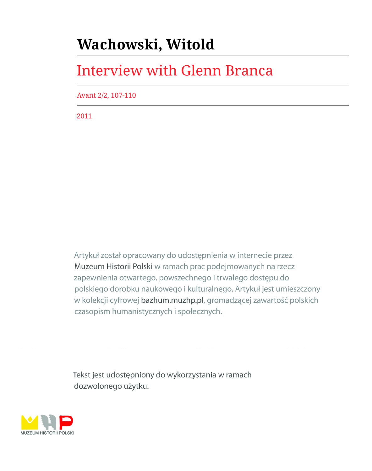# Wachowski, Witold

# **Interview with Glenn Branca**

Avant 2/2, 107-110

2011

Artykuł został opracowany do udostępnienia w internecie przez Muzeum Historii Polski w ramach prac podejmowanych na rzecz zapewnienia otwartego, powszechnego i trwałego dostępu do polskiego dorobku naukowego i kulturalnego. Artykuł jest umieszczony w kolekcji cyfrowej bazhum.muzhp.pl, gromadzącej zawartość polskich czasopism humanistycznych i społecznych.

Tekst jest udostępniony do wykorzystania w ramach dozwolonego użytku.

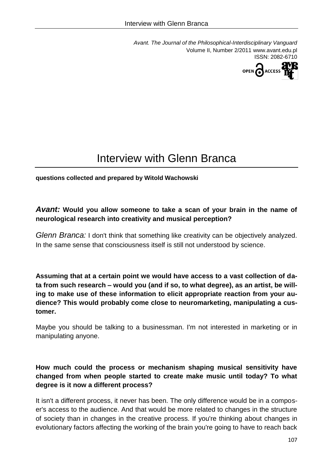*Avant. The Journal of the Philosophical-Interdisciplinary Vanguard* Volume II, Number 2/2011 www.avant.edu.pl ISSN: 2082-6710



# Interview with Glenn Branca

**questions collected and prepared by Witold Wachowski**

# *Avant:* **Would you allow someone to take a scan of your brain in the name of neurological research into creativity and musical perception?**

*Glenn Branca:* I don't think that something like creativity can be objectively analyzed. In the same sense that consciousness itself is still not understood by science.

**Assuming that at a certain point we would have access to a vast collection of data from such research – would you (and if so, to what degree), as an artist, be willing to make use of these information to elicit appropriate reaction from your audience? This would probably come close to neuromarketing, manipulating a customer.**

Maybe you should be talking to a businessman. I'm not interested in marketing or in manipulating anyone.

# **How much could the process or mechanism shaping musical sensitivity have changed from when people started to create make music until today? To what degree is it now a different process?**

It isn't a different process, it never has been. The only difference would be in a composer's access to the audience. And that would be more related to changes in the structure of society than in changes in the creative process. If you're thinking about changes in evolutionary factors affecting the working of the brain you're going to have to reach back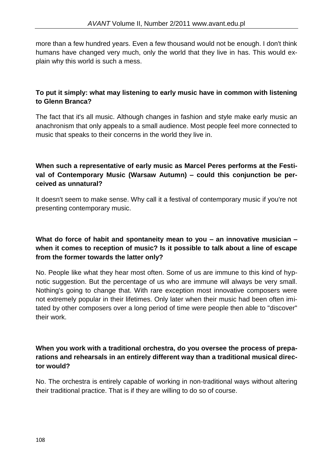more than a few hundred years. Even a few thousand would not be enough. I don't think humans have changed very much, only the world that they live in has. This would explain why this world is such a mess.

# **To put it simply: what may listening to early music have in common with listening to Glenn Branca?**

The fact that it's all music. Although changes in fashion and style make early music an anachronism that only appeals to a small audience. Most people feel more connected to music that speaks to their concerns in the world they live in.

# **When such a representative of early music as Marcel Peres performs at the Festival of Contemporary Music (Warsaw Autumn) – could this conjunction be perceived as unnatural?**

It doesn't seem to make sense. Why call it a festival of contemporary music if you're not presenting contemporary music.

# **What do force of habit and spontaneity mean to you – an innovative musician – when it comes to reception of music? Is it possible to talk about a line of escape from the former towards the latter only?**

No. People like what they hear most often. Some of us are immune to this kind of hypnotic suggestion. But the percentage of us who are immune will always be very small. Nothing's going to change that. With rare exception most innovative composers were not extremely popular in their lifetimes. Only later when their music had been often imitated by other composers over a long period of time were people then able to "discover" their work.

#### **When you work with a traditional orchestra, do you oversee the process of preparations and rehearsals in an entirely different way than a traditional musical director would?**

No. The orchestra is entirely capable of working in non-traditional ways without altering their traditional practice. That is if they are willing to do so of course.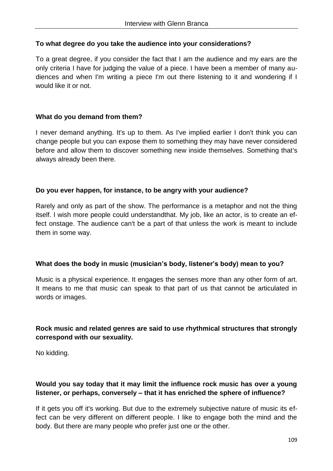#### **To what degree do you take the audience into your considerations?**

To a great degree, if you consider the fact that I am the audience and my ears are the only criteria I have for judging the value of a piece. I have been a member of many audiences and when I'm writing a piece I'm out there listening to it and wondering if I would like it or not.

#### **What do you demand from them?**

I never demand anything. It's up to them. As I've implied earlier I don't think you can change people but you can expose them to something they may have never considered before and allow them to discover something new inside themselves. Something that's always already been there.

#### **Do you ever happen, for instance, to be angry with your audience?**

Rarely and only as part of the show. The performance is a metaphor and not the thing itself. I wish more people could understandthat. My job, like an actor, is to create an effect onstage. The audience can't be a part of that unless the work is meant to include them in some way.

#### **What does the body in music (musician's body, listener's body) mean to you?**

Music is a physical experience. It engages the senses more than any other form of art. It means to me that music can speak to that part of us that cannot be articulated in words or images.

# **Rock music and related genres are said to use rhythmical structures that strongly correspond with our sexuality.**

No kidding.

# **Would you say today that it may limit the influence rock music has over a young listener, or perhaps, conversely – that it has enriched the sphere of influence?**

If it gets you off it's working. But due to the extremely subjective nature of music its effect can be very different on different people. I like to engage both the mind and the body. But there are many people who prefer just one or the other.